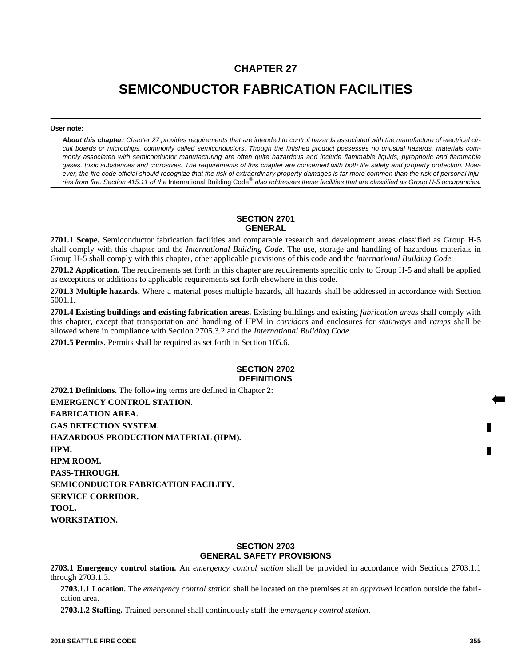# **CHAPTER 27**

# **SEMICONDUCTOR FABRICATION FACILITIES**

#### **User note:**

*About this chapter: Chapter 27 provides requirements that are intended to control hazards associated with the manufacture of electrical circuit boards or microchips, commonly called semiconductors. Though the finished product possesses no unusual hazards, materials commonly associated with semiconductor manufacturing are often quite hazardous and include flammable liquids, pyrophoric and flammable gases, toxic substances and corrosives. The requirements of this chapter are concerned with both life safety and property protection. However, the fire code official should recognize that the risk of extraordinary property damages is far more common than the risk of personal inju*ries from fire. Section 415.11 of the International Building Code® also addresses these facilities that are classified as Group H-5 occupancies.

# **SECTION 2701 GENERAL**

**2701.1 Scope.** Semiconductor fabrication facilities and comparable research and development areas classified as Group H-5 shall comply with this chapter and the *International Building Code*. The use, storage and handling of hazardous materials in Group H-5 shall comply with this chapter, other applicable provisions of this code and the *International Building Code*.

**2701.2 Application.** The requirements set forth in this chapter are requirements specific only to Group H-5 and shall be applied as exceptions or additions to applicable requirements set forth elsewhere in this code.

**2701.3 Multiple hazards.** Where a material poses multiple hazards, all hazards shall be addressed in accordance with Section 5001.1.

**2701.4 Existing buildings and existing fabrication areas.** Existing buildings and existing *fabrication areas* shall comply with this chapter, except that transportation and handling of HPM in *corridors* and enclosures for *stairways* and *ramps* shall be allowed where in compliance with Section 2705.3.2 and the *International Building Code*.

**2701.5 Permits.** Permits shall be required as set forth in Section 105.6.

# **SECTION 2702 DEFINITIONS**

**2702.1 Definitions.** The following terms are defined in Chapter 2: **EMERGENCY CONTROL STATION. FABRICATION AREA. GAS DETECTION SYSTEM. HAZARDOUS PRODUCTION MATERIAL (HPM). HPM. HPM ROOM. PASS-THROUGH. SEMICONDUCTOR FABRICATION FACILITY. SERVICE CORRIDOR. TOOL. WORKSTATION.**

#### **SECTION 2703 GENERAL SAFETY PROVISIONS**

**2703.1 Emergency control station.** An *emergency control station* shall be provided in accordance with Sections 2703.1.1 through 2703.1.3.

**2703.1.1 Location.** The *emergency control station* shall be located on the premises at an *approved* location outside the fabrication area.

**2703.1.2 Staffing.** Trained personnel shall continuously staff the *emergency control station*.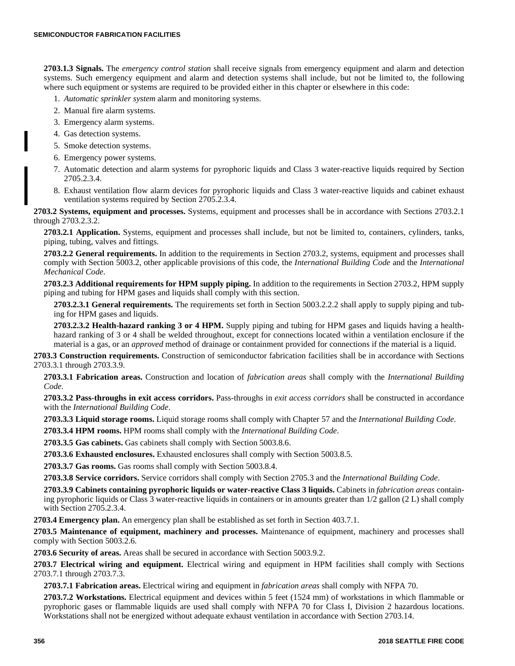**2703.1.3 Signals.** The *emergency control station* shall receive signals from emergency equipment and alarm and detection systems. Such emergency equipment and alarm and detection systems shall include, but not be limited to, the following where such equipment or systems are required to be provided either in this chapter or elsewhere in this code:

- 1. *Automatic sprinkler system* alarm and monitoring systems.
- 2. Manual fire alarm systems.
- 3. Emergency alarm systems.
- 4. Gas detection systems.
- 5. Smoke detection systems.
- 6. Emergency power systems.
- 7. Automatic detection and alarm systems for pyrophoric liquids and Class 3 water-reactive liquids required by Section 2705.2.3.4.
- 8. Exhaust ventilation flow alarm devices for pyrophoric liquids and Class 3 water-reactive liquids and cabinet exhaust ventilation systems required by Section 2705.2.3.4.

**2703.2 Systems, equipment and processes.** Systems, equipment and processes shall be in accordance with Sections 2703.2.1 through 2703.2.3.2.

**2703.2.1 Application.** Systems, equipment and processes shall include, but not be limited to, containers, cylinders, tanks, piping, tubing, valves and fittings.

**2703.2.2 General requirements.** In addition to the requirements in Section 2703.2, systems, equipment and processes shall comply with Section 5003.2, other applicable provisions of this code, the *International Building Code* and the *International Mechanical Code*.

**2703.2.3 Additional requirements for HPM supply piping.** In addition to the requirements in Section 2703.2, HPM supply piping and tubing for HPM gases and liquids shall comply with this section.

**2703.2.3.1 General requirements.** The requirements set forth in Section 5003.2.2.2 shall apply to supply piping and tubing for HPM gases and liquids.

**2703.2.3.2 Health-hazard ranking 3 or 4 HPM.** Supply piping and tubing for HPM gases and liquids having a healthhazard ranking of 3 or 4 shall be welded throughout, except for connections located within a ventilation enclosure if the material is a gas, or an *approved* method of drainage or containment provided for connections if the material is a liquid.

**2703.3 Construction requirements.** Construction of semiconductor fabrication facilities shall be in accordance with Sections 2703.3.1 through 2703.3.9.

**2703.3.1 Fabrication areas.** Construction and location of *fabrication areas* shall comply with the *International Building Code*.

**2703.3.2 Pass-throughs in exit access corridors.** Pass-throughs in *exit access corridors* shall be constructed in accordance with the *International Building Code*.

**2703.3.3 Liquid storage rooms.** Liquid storage rooms shall comply with Chapter 57 and the *International Building Code*.

**2703.3.4 HPM rooms.** HPM rooms shall comply with the *International Building Code*.

**2703.3.5 Gas cabinets.** Gas cabinets shall comply with Section 5003.8.6.

**2703.3.6 Exhausted enclosures.** Exhausted enclosures shall comply with Section 5003.8.5.

**2703.3.7 Gas rooms.** Gas rooms shall comply with Section 5003.8.4.

**2703.3.8 Service corridors.** Service corridors shall comply with Section 2705.3 and the *International Building Code*.

**2703.3.9 Cabinets containing pyrophoric liquids or water-reactive Class 3 liquids.** Cabinets in *fabrication areas* containing pyrophoric liquids or Class 3 water-reactive liquids in containers or in amounts greater than 1/2 gallon (2 L) shall comply with Section 2705.2.3.4.

**2703.4 Emergency plan.** An emergency plan shall be established as set forth in Section 403.7.1.

**2703.5 Maintenance of equipment, machinery and processes.** Maintenance of equipment, machinery and processes shall comply with Section 5003.2.6.

**2703.6 Security of areas.** Areas shall be secured in accordance with Section 5003.9.2.

**2703.7 Electrical wiring and equipment.** Electrical wiring and equipment in HPM facilities shall comply with Sections 2703.7.1 through 2703.7.3.

**2703.7.1 Fabrication areas.** Electrical wiring and equipment in *fabrication areas* shall comply with NFPA 70.

**2703.7.2 Workstations.** Electrical equipment and devices within 5 feet (1524 mm) of workstations in which flammable or pyrophoric gases or flammable liquids are used shall comply with NFPA 70 for Class I, Division 2 hazardous locations. Workstations shall not be energized without adequate exhaust ventilation in accordance with Section 2703.14.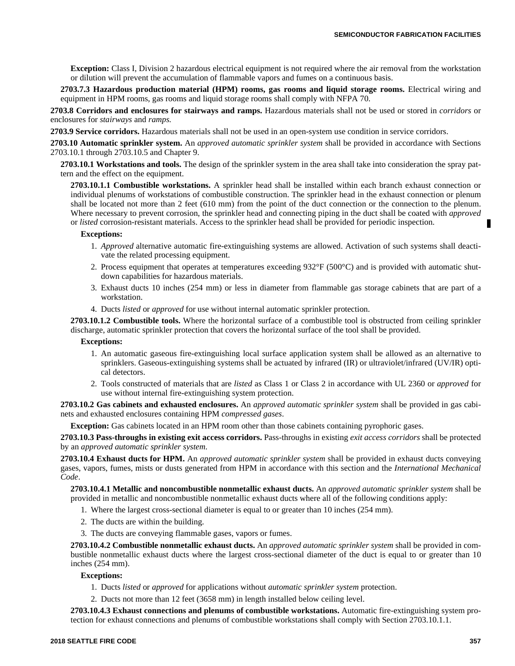**Exception:** Class I, Division 2 hazardous electrical equipment is not required where the air removal from the workstation or dilution will prevent the accumulation of flammable vapors and fumes on a continuous basis.

**2703.7.3 Hazardous production material (HPM) rooms, gas rooms and liquid storage rooms.** Electrical wiring and equipment in HPM rooms, gas rooms and liquid storage rooms shall comply with NFPA 70.

**2703.8 Corridors and enclosures for stairways and ramps.** Hazardous materials shall not be used or stored in *corridors* or enclosures for *stairways* and *ramps.*

**2703.9 Service corridors.** Hazardous materials shall not be used in an open-system use condition in service corridors.

**2703.10 Automatic sprinkler system.** An *approved automatic sprinkler system* shall be provided in accordance with Sections 2703.10.1 through 2703.10.5 and Chapter 9.

**2703.10.1 Workstations and tools.** The design of the sprinkler system in the area shall take into consideration the spray pattern and the effect on the equipment.

**2703.10.1.1 Combustible workstations.** A sprinkler head shall be installed within each branch exhaust connection or individual plenums of workstations of combustible construction. The sprinkler head in the exhaust connection or plenum shall be located not more than 2 feet (610 mm) from the point of the duct connection or the connection to the plenum. Where necessary to prevent corrosion, the sprinkler head and connecting piping in the duct shall be coated with *approved* or *listed* corrosion-resistant materials. Access to the sprinkler head shall be provided for periodic inspection.

#### **Exceptions:**

- 1. *Approved* alternative automatic fire-extinguishing systems are allowed. Activation of such systems shall deactivate the related processing equipment.
- 2. Process equipment that operates at temperatures exceeding 932°F (500°C) and is provided with automatic shutdown capabilities for hazardous materials.
- 3. Exhaust ducts 10 inches (254 mm) or less in diameter from flammable gas storage cabinets that are part of a workstation.
- 4. Ducts *listed* or *approved* for use without internal automatic sprinkler protection.

**2703.10.1.2 Combustible tools.** Where the horizontal surface of a combustible tool is obstructed from ceiling sprinkler discharge, automatic sprinkler protection that covers the horizontal surface of the tool shall be provided.

#### **Exceptions:**

- 1. An automatic gaseous fire-extinguishing local surface application system shall be allowed as an alternative to sprinklers. Gaseous-extinguishing systems shall be actuated by infrared (IR) or ultraviolet/infrared (UV/IR) optical detectors.
- 2. Tools constructed of materials that are *listed* as Class 1 or Class 2 in accordance with UL 2360 or *approved* for use without internal fire-extinguishing system protection.

**2703.10.2 Gas cabinets and exhausted enclosures.** An *approved automatic sprinkler system* shall be provided in gas cabinets and exhausted enclosures containing HPM *compressed gases*.

**Exception:** Gas cabinets located in an HPM room other than those cabinets containing pyrophoric gases.

**2703.10.3 Pass-throughs in existing exit access corridors.** Pass-throughs in existing *exit access corridors* shall be protected by an *approved automatic sprinkler system*.

**2703.10.4 Exhaust ducts for HPM.** An *approved automatic sprinkler system* shall be provided in exhaust ducts conveying gases, vapors, fumes, mists or dusts generated from HPM in accordance with this section and the *International Mechanical Code*.

**2703.10.4.1 Metallic and noncombustible nonmetallic exhaust ducts.** An *approved automatic sprinkler system* shall be provided in metallic and noncombustible nonmetallic exhaust ducts where all of the following conditions apply:

- 1. Where the largest cross-sectional diameter is equal to or greater than 10 inches (254 mm).
- 2. The ducts are within the building.
- 3. The ducts are conveying flammable gases, vapors or fumes.

**2703.10.4.2 Combustible nonmetallic exhaust ducts.** An *approved automatic sprinkler system* shall be provided in combustible nonmetallic exhaust ducts where the largest cross-sectional diameter of the duct is equal to or greater than 10 inches (254 mm).

#### **Exceptions:**

- 1. Ducts *listed* or *approved* for applications without *automatic sprinkler system* protection.
- 2. Ducts not more than 12 feet (3658 mm) in length installed below ceiling level.

**2703.10.4.3 Exhaust connections and plenums of combustible workstations.** Automatic fire-extinguishing system protection for exhaust connections and plenums of combustible workstations shall comply with Section 2703.10.1.1.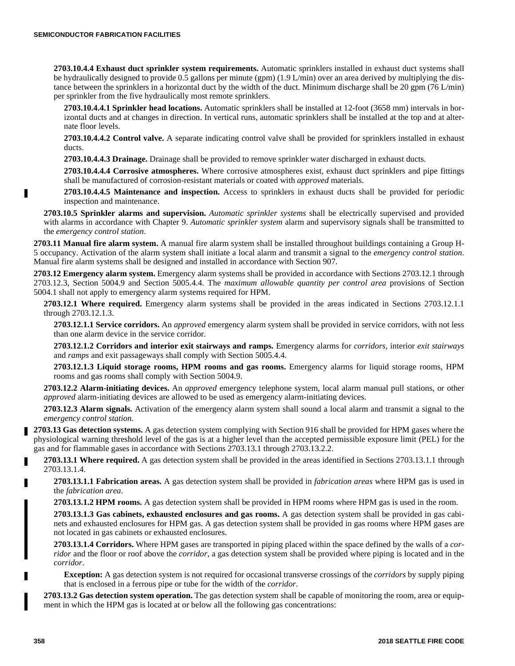**2703.10.4.4 Exhaust duct sprinkler system requirements.** Automatic sprinklers installed in exhaust duct systems shall be hydraulically designed to provide 0.5 gallons per minute (gpm) (1.9 L/min) over an area derived by multiplying the distance between the sprinklers in a horizontal duct by the width of the duct. Minimum discharge shall be 20 gpm (76 L/min) per sprinkler from the five hydraulically most remote sprinklers.

**2703.10.4.4.1 Sprinkler head locations.** Automatic sprinklers shall be installed at 12-foot (3658 mm) intervals in horizontal ducts and at changes in direction. In vertical runs, automatic sprinklers shall be installed at the top and at alternate floor levels.

**2703.10.4.4.2 Control valve.** A separate indicating control valve shall be provided for sprinklers installed in exhaust ducts.

**2703.10.4.4.3 Drainage.** Drainage shall be provided to remove sprinkler water discharged in exhaust ducts.

**2703.10.4.4.4 Corrosive atmospheres.** Where corrosive atmospheres exist, exhaust duct sprinklers and pipe fittings shall be manufactured of corrosion-resistant materials or coated with *approved* materials.

**2703.10.4.4.5 Maintenance and inspection.** Access to sprinklers in exhaust ducts shall be provided for periodic inspection and maintenance.

**2703.10.5 Sprinkler alarms and supervision.** *Automatic sprinkler systems* shall be electrically supervised and provided with alarms in accordance with Chapter 9. *Automatic sprinkler system* alarm and supervisory signals shall be transmitted to the *emergency control station*.

**2703.11 Manual fire alarm system.** A manual fire alarm system shall be installed throughout buildings containing a Group H-5 occupancy. Activation of the alarm system shall initiate a local alarm and transmit a signal to the *emergency control station*. Manual fire alarm systems shall be designed and installed in accordance with Section 907.

**2703.12 Emergency alarm system.** Emergency alarm systems shall be provided in accordance with Sections 2703.12.1 through 2703.12.3, Section 5004.9 and Section 5005.4.4. The *maximum allowable quantity per control area* provisions of Section 5004.1 shall not apply to emergency alarm systems required for HPM.

**2703.12.1 Where required.** Emergency alarm systems shall be provided in the areas indicated in Sections 2703.12.1.1 through 2703.12.1.3.

**2703.12.1.1 Service corridors.** An *approved* emergency alarm system shall be provided in service corridors, with not less than one alarm device in the service corridor.

**2703.12.1.2 Corridors and interior exit stairways and ramps.** Emergency alarms for *corridors*, interior *exit stairways* and *ramps* and exit passageways shall comply with Section 5005.4.4.

**2703.12.1.3 Liquid storage rooms, HPM rooms and gas rooms.** Emergency alarms for liquid storage rooms, HPM rooms and gas rooms shall comply with Section 5004.9.

**2703.12.2 Alarm-initiating devices.** An *approved* emergency telephone system, local alarm manual pull stations, or other *approved* alarm-initiating devices are allowed to be used as emergency alarm-initiating devices.

**2703.12.3 Alarm signals.** Activation of the emergency alarm system shall sound a local alarm and transmit a signal to the *emergency control station*.

**2703.13 Gas detection systems.** A gas detection system complying with Section 916 shall be provided for HPM gases where the physiological warning threshold level of the gas is at a higher level than the accepted permissible exposure limit (PEL) for the gas and for flammable gases in accordance with Sections 2703.13.1 through 2703.13.2.2.

**2703.13.1 Where required.** A gas detection system shall be provided in the areas identified in Sections 2703.13.1.1 through 2703.13.1.4.

**2703.13.1.1 Fabrication areas.** A gas detection system shall be provided in *fabrication areas* where HPM gas is used in the *fabrication area*.

**2703.13.1.2 HPM rooms.** A gas detection system shall be provided in HPM rooms where HPM gas is used in the room.

**2703.13.1.3 Gas cabinets, exhausted enclosures and gas rooms.** A gas detection system shall be provided in gas cabinets and exhausted enclosures for HPM gas. A gas detection system shall be provided in gas rooms where HPM gases are not located in gas cabinets or exhausted enclosures.

**2703.13.1.4 Corridors.** Where HPM gases are transported in piping placed within the space defined by the walls of a *corridor* and the floor or roof above the *corridor*, a gas detection system shall be provided where piping is located and in the *corridor*.

**Exception:** A gas detection system is not required for occasional transverse crossings of the *corridors* by supply piping that is enclosed in a ferrous pipe or tube for the width of the *corridor*.

**2703.13.2 Gas detection system operation.** The gas detection system shall be capable of monitoring the room, area or equipment in which the HPM gas is located at or below all the following gas concentrations:

П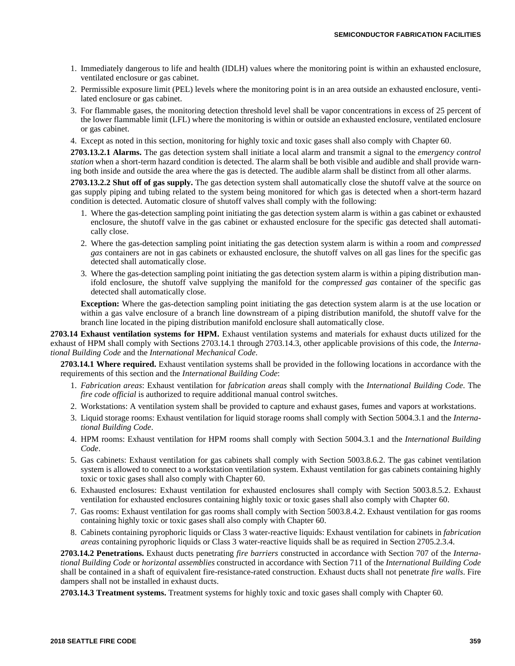- 1. Immediately dangerous to life and health (IDLH) values where the monitoring point is within an exhausted enclosure, ventilated enclosure or gas cabinet.
- 2. Permissible exposure limit (PEL) levels where the monitoring point is in an area outside an exhausted enclosure, ventilated enclosure or gas cabinet.
- 3. For flammable gases, the monitoring detection threshold level shall be vapor concentrations in excess of 25 percent of the lower flammable limit (LFL) where the monitoring is within or outside an exhausted enclosure, ventilated enclosure or gas cabinet.
- 4. Except as noted in this section, monitoring for highly toxic and toxic gases shall also comply with Chapter 60.

**2703.13.2.1 Alarms.** The gas detection system shall initiate a local alarm and transmit a signal to the *emergency control station* when a short-term hazard condition is detected. The alarm shall be both visible and audible and shall provide warning both inside and outside the area where the gas is detected. The audible alarm shall be distinct from all other alarms.

**2703.13.2.2 Shut off of gas supply.** The gas detection system shall automatically close the shutoff valve at the source on gas supply piping and tubing related to the system being monitored for which gas is detected when a short-term hazard condition is detected. Automatic closure of shutoff valves shall comply with the following:

- 1. Where the gas-detection sampling point initiating the gas detection system alarm is within a gas cabinet or exhausted enclosure, the shutoff valve in the gas cabinet or exhausted enclosure for the specific gas detected shall automatically close.
- 2. Where the gas-detection sampling point initiating the gas detection system alarm is within a room and *compressed gas* containers are not in gas cabinets or exhausted enclosure, the shutoff valves on all gas lines for the specific gas detected shall automatically close.
- 3. Where the gas-detection sampling point initiating the gas detection system alarm is within a piping distribution manifold enclosure, the shutoff valve supplying the manifold for the *compressed gas* container of the specific gas detected shall automatically close.

**Exception:** Where the gas-detection sampling point initiating the gas detection system alarm is at the use location or within a gas valve enclosure of a branch line downstream of a piping distribution manifold, the shutoff valve for the branch line located in the piping distribution manifold enclosure shall automatically close.

**2703.14 Exhaust ventilation systems for HPM.** Exhaust ventilation systems and materials for exhaust ducts utilized for the exhaust of HPM shall comply with Sections 2703.14.1 through 2703.14.3, other applicable provisions of this code, the *International Building Code* and the *International Mechanical Code*.

**2703.14.1 Where required.** Exhaust ventilation systems shall be provided in the following locations in accordance with the requirements of this section and the *International Building Code*:

- 1. *Fabrication areas*: Exhaust ventilation for *fabrication areas* shall comply with the *International Building Code*. The *fire code official* is authorized to require additional manual control switches.
- 2. Workstations: A ventilation system shall be provided to capture and exhaust gases, fumes and vapors at workstations.
- 3. Liquid storage rooms: Exhaust ventilation for liquid storage rooms shall comply with Section 5004.3.1 and the *International Building Code*.
- 4. HPM rooms: Exhaust ventilation for HPM rooms shall comply with Section 5004.3.1 and the *International Building Code*.
- 5. Gas cabinets: Exhaust ventilation for gas cabinets shall comply with Section 5003.8.6.2. The gas cabinet ventilation system is allowed to connect to a workstation ventilation system. Exhaust ventilation for gas cabinets containing highly toxic or toxic gases shall also comply with Chapter 60.
- 6. Exhausted enclosures: Exhaust ventilation for exhausted enclosures shall comply with Section 5003.8.5.2. Exhaust ventilation for exhausted enclosures containing highly toxic or toxic gases shall also comply with Chapter 60.
- 7. Gas rooms: Exhaust ventilation for gas rooms shall comply with Section 5003.8.4.2. Exhaust ventilation for gas rooms containing highly toxic or toxic gases shall also comply with Chapter 60.
- 8. Cabinets containing pyrophoric liquids or Class 3 water-reactive liquids: Exhaust ventilation for cabinets in *fabrication areas* containing pyrophoric liquids or Class 3 water-reactive liquids shall be as required in Section 2705.2.3.4.

**2703.14.2 Penetrations.** Exhaust ducts penetrating *fire barriers* constructed in accordance with Section 707 of the *International Building Code* or *horizontal assemblies* constructed in accordance with Section 711 of the *International Building Code* shall be contained in a shaft of equivalent fire-resistance-rated construction. Exhaust ducts shall not penetrate *fire walls*. Fire dampers shall not be installed in exhaust ducts.

**2703.14.3 Treatment systems.** Treatment systems for highly toxic and toxic gases shall comply with Chapter 60.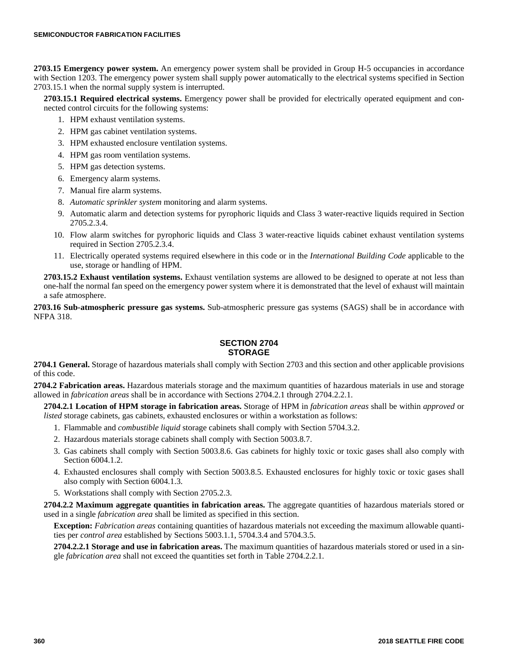**2703.15 Emergency power system.** An emergency power system shall be provided in Group H-5 occupancies in accordance with Section 1203. The emergency power system shall supply power automatically to the electrical systems specified in Section 2703.15.1 when the normal supply system is interrupted.

**2703.15.1 Required electrical systems.** Emergency power shall be provided for electrically operated equipment and connected control circuits for the following systems:

- 1. HPM exhaust ventilation systems.
- 2. HPM gas cabinet ventilation systems.
- 3. HPM exhausted enclosure ventilation systems.
- 4. HPM gas room ventilation systems.
- 5. HPM gas detection systems.
- 6. Emergency alarm systems.
- 7. Manual fire alarm systems.
- 8. *Automatic sprinkler system* monitoring and alarm systems.
- 9. Automatic alarm and detection systems for pyrophoric liquids and Class 3 water-reactive liquids required in Section 2705.2.3.4.
- 10. Flow alarm switches for pyrophoric liquids and Class 3 water-reactive liquids cabinet exhaust ventilation systems required in Section 2705.2.3.4.
- 11. Electrically operated systems required elsewhere in this code or in the *International Building Code* applicable to the use, storage or handling of HPM.

**2703.15.2 Exhaust ventilation systems.** Exhaust ventilation systems are allowed to be designed to operate at not less than one-half the normal fan speed on the emergency power system where it is demonstrated that the level of exhaust will maintain a safe atmosphere.

**2703.16 Sub-atmospheric pressure gas systems.** Sub-atmospheric pressure gas systems (SAGS) shall be in accordance with NFPA 318.

# **SECTION 2704 STORAGE**

**2704.1 General.** Storage of hazardous materials shall comply with Section 2703 and this section and other applicable provisions of this code.

**2704.2 Fabrication areas.** Hazardous materials storage and the maximum quantities of hazardous materials in use and storage allowed in *fabrication areas* shall be in accordance with Sections 2704.2.1 through 2704.2.2.1.

**2704.2.1 Location of HPM storage in fabrication areas.** Storage of HPM in *fabrication areas* shall be within *approved* or *listed* storage cabinets, gas cabinets, exhausted enclosures or within a workstation as follows:

- 1. Flammable and *combustible liquid* storage cabinets shall comply with Section 5704.3.2.
- 2. Hazardous materials storage cabinets shall comply with Section 5003.8.7.
- 3. Gas cabinets shall comply with Section 5003.8.6. Gas cabinets for highly toxic or toxic gases shall also comply with Section 6004.1.2.
- 4. Exhausted enclosures shall comply with Section 5003.8.5. Exhausted enclosures for highly toxic or toxic gases shall also comply with Section 6004.1.3.
- 5. Workstations shall comply with Section 2705.2.3.

**2704.2.2 Maximum aggregate quantities in fabrication areas.** The aggregate quantities of hazardous materials stored or used in a single *fabrication area* shall be limited as specified in this section.

**Exception:** *Fabrication areas* containing quantities of hazardous materials not exceeding the maximum allowable quantities per *control area* established by Sections 5003.1.1, 5704.3.4 and 5704.3.5.

**2704.2.2.1 Storage and use in fabrication areas.** The maximum quantities of hazardous materials stored or used in a single *fabrication area* shall not exceed the quantities set forth in Table 2704.2.2.1.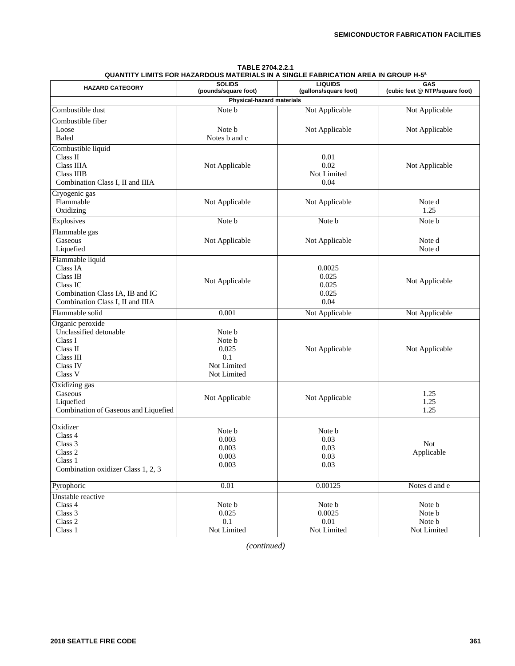| TABLE 2704.2.2.1                                                                   |  |  |  |  |
|------------------------------------------------------------------------------------|--|--|--|--|
| QUANTITY LIMITS FOR HAZARDOUS MATERIALS IN A SINGLE FABRICATION AREA IN GROUP H-5ª |  |  |  |  |

| <b>HAZARD CATEGORY</b>                                                                                                      | <b>SOLIDS</b><br>(pounds/square foot)                          | <b>LIQUIDS</b><br>(gallons/square foot)   | GAS<br>(cubic feet @ NTP/square foot)     |
|-----------------------------------------------------------------------------------------------------------------------------|----------------------------------------------------------------|-------------------------------------------|-------------------------------------------|
|                                                                                                                             | Physical-hazard materials                                      |                                           |                                           |
| Combustible dust                                                                                                            | Note b                                                         | Not Applicable                            | Not Applicable                            |
| Combustible fiber<br>Loose<br>Baled                                                                                         | Note b<br>Notes b and c                                        | Not Applicable                            | Not Applicable                            |
| Combustible liquid<br>Class II<br>Class IIIA<br><b>Class IIIB</b><br>Combination Class I, II and IIIA                       | Not Applicable                                                 | 0.01<br>0.02<br>Not Limited<br>0.04       | Not Applicable                            |
| Cryogenic gas<br>Flammable<br>Oxidizing                                                                                     | Not Applicable                                                 | Not Applicable                            | Note d<br>1.25                            |
| Explosives                                                                                                                  | Note b                                                         | Note b                                    | Note b                                    |
| Flammable gas<br>Gaseous<br>Liquefied                                                                                       | Not Applicable                                                 | Not Applicable                            | Note d<br>Note d                          |
| Flammable liquid<br>Class IA<br>Class IB<br>Class IC<br>Combination Class IA, IB and IC<br>Combination Class I, II and IIIA | Not Applicable                                                 | 0.0025<br>0.025<br>0.025<br>0.025<br>0.04 | Not Applicable                            |
| Flammable solid                                                                                                             | 0.001                                                          | Not Applicable                            | Not Applicable                            |
| Organic peroxide<br>Unclassified detonable<br>Class I<br>Class II<br>Class III<br>Class IV<br>Class V                       | Note b<br>Note b<br>0.025<br>0.1<br>Not Limited<br>Not Limited | Not Applicable                            | Not Applicable                            |
| Oxidizing gas<br>Gaseous<br>Liquefied<br>Combination of Gaseous and Liquefied                                               | Not Applicable                                                 | Not Applicable                            | 1.25<br>1.25<br>1.25                      |
| Oxidizer<br>Class 4<br>Class 3<br>Class 2<br>Class 1<br>Combination oxidizer Class 1, 2, 3                                  | Note b<br>0.003<br>0.003<br>0.003<br>0.003                     | Note b<br>0.03<br>0.03<br>0.03<br>0.03    | <b>Not</b><br>Applicable                  |
| Pyrophoric                                                                                                                  | 0.01                                                           | 0.00125                                   | Notes d and e                             |
| Unstable reactive<br>Class 4<br>Class 3<br>Class $2\,$<br>Class 1                                                           | Note b<br>0.025<br>0.1<br>Not Limited                          | Note b<br>0.0025<br>0.01<br>Not Limited   | Note b<br>Note b<br>Note b<br>Not Limited |

*(continued)*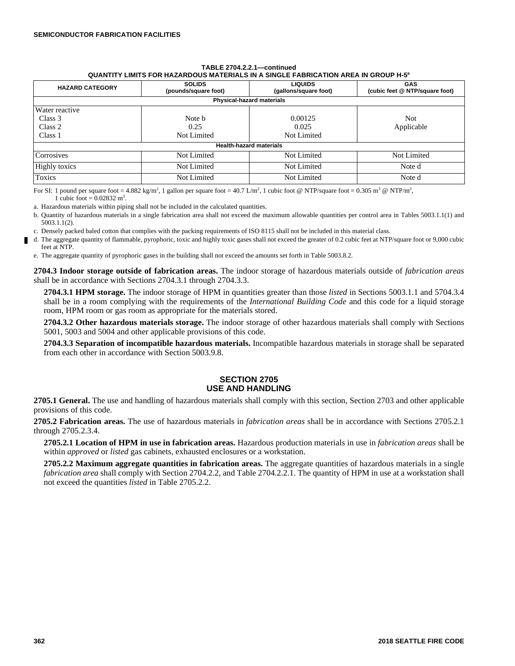#### **TABLE 2704.2.2.1—continued QUANTITY LIMITS FOR HAZARDOUS MATERIALS IN A SINGLE FABRICATION AREA IN GROUP H-5<sup>a</sup>**

| <b>HAZARD CATEGORY</b>                          | <b>SOLIDS</b><br>(pounds/square foot) | <b>LIQUIDS</b><br>(gallons/square foot) | <b>GAS</b><br>(cubic feet @ NTP/square foot) |  |  |  |
|-------------------------------------------------|---------------------------------------|-----------------------------------------|----------------------------------------------|--|--|--|
| Physical-hazard materials                       |                                       |                                         |                                              |  |  |  |
| Water reactive<br>Class 3<br>Class 2<br>Class 1 | Note b<br>0.25<br>Not Limited         | 0.00125<br>0.025<br>Not Limited         | <b>Not</b><br>Applicable                     |  |  |  |
| <b>Health-hazard materials</b>                  |                                       |                                         |                                              |  |  |  |
| Corrosives                                      | Not Limited                           | Not Limited                             | Not Limited                                  |  |  |  |
| <b>Highly toxics</b>                            | Not Limited                           | Not Limited                             | Note d                                       |  |  |  |
| Toxics                                          | Not Limited                           | Not Limited                             | Note d                                       |  |  |  |

For SI: 1 pound per square foot = 4.882 kg/m<sup>2</sup>, 1 gallon per square foot = 40.7 L/m<sup>2</sup>, 1 cubic foot @ NTP/square foot = 0.305 m<sup>3</sup> @ NTP/m<sup>2</sup>, 1 cubic foot =  $0.02832 \text{ m}^3$ .

a. Hazardous materials within piping shall not be included in the calculated quantities.

b. Quantity of hazardous materials in a single fabrication area shall not exceed the maximum allowable quantities per control area in Tables 5003.1.1(1) and 5003.1.1(2).

c. Densely packed baled cotton that complies with the packing requirements of ISO 8115 shall not be included in this material class.

d. The aggregate quantity of flammable, pyrophoric, toxic and highly toxic gases shall not exceed the greater of 0.2 cubic feet at NTP/square foot or 9,000 cubic feet at NTP.

e. The aggregate quantity of pyrophoric gases in the building shall not exceed the amounts set forth in Table 5003.8.2.

**2704.3 Indoor storage outside of fabrication areas.** The indoor storage of hazardous materials outside of *fabrication areas* shall be in accordance with Sections 2704.3.1 through 2704.3.3.

**2704.3.1 HPM storage.** The indoor storage of HPM in quantities greater than those *listed* in Sections 5003.1.1 and 5704.3.4 shall be in a room complying with the requirements of the *International Building Code* and this code for a liquid storage room, HPM room or gas room as appropriate for the materials stored.

**2704.3.2 Other hazardous materials storage.** The indoor storage of other hazardous materials shall comply with Sections 5001, 5003 and 5004 and other applicable provisions of this code.

**2704.3.3 Separation of incompatible hazardous materials.** Incompatible hazardous materials in storage shall be separated from each other in accordance with Section 5003.9.8.

## **SECTION 2705 USE AND HANDLING**

**2705.1 General.** The use and handling of hazardous materials shall comply with this section, Section 2703 and other applicable provisions of this code.

**2705.2 Fabrication areas.** The use of hazardous materials in *fabrication areas* shall be in accordance with Sections 2705.2.1 through 2705.2.3.4.

**2705.2.1 Location of HPM in use in fabrication areas.** Hazardous production materials in use in *fabrication areas* shall be within *approved* or *listed* gas cabinets, exhausted enclosures or a workstation.

**2705.2.2 Maximum aggregate quantities in fabrication areas.** The aggregate quantities of hazardous materials in a single *fabrication area* shall comply with Section 2704.2.2, and Table 2704.2.2.1. The quantity of HPM in use at a workstation shall not exceed the quantities *listed* in Table 2705.2.2.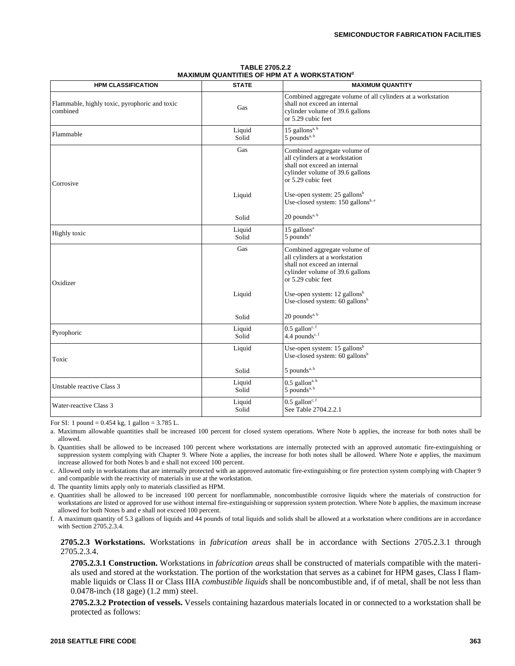| <b>TABLE 2705.2.2</b>                               |
|-----------------------------------------------------|
| <b>MAXIMUM QUANTITIES OF HPM AT A WORKSTATION</b> d |

| <b>HPM CLASSIFICATION</b>                                 | <b>STATE</b>    | <b>MAXIMUM QUANTITY</b>                                                                                                                                 |
|-----------------------------------------------------------|-----------------|---------------------------------------------------------------------------------------------------------------------------------------------------------|
| Flammable, highly toxic, pyrophoric and toxic<br>combined | Gas             | Combined aggregate volume of all cylinders at a workstation<br>shall not exceed an internal<br>cylinder volume of 39.6 gallons<br>or 5.29 cubic feet    |
| Flammable                                                 | Liquid<br>Solid | 15 gallons <sup>a, <math>\overline{b}</math></sup><br>5 pounds <sup>a, b</sup>                                                                          |
| Corrosive                                                 | Gas             | Combined aggregate volume of<br>all cylinders at a workstation<br>shall not exceed an internal<br>cylinder volume of 39.6 gallons<br>or 5.29 cubic feet |
|                                                           | Liquid          | Use-open system: $25$ gallons <sup>b</sup><br>Use-closed system: $150$ gallons <sup>b, e</sup>                                                          |
|                                                           | Solid           | $20$ pounds <sup>a, b</sup>                                                                                                                             |
| Highly toxic                                              | Liquid<br>Solid | $15$ gallons <sup>a</sup><br>5 pounds <sup>a</sup>                                                                                                      |
| Oxidizer                                                  | Gas             | Combined aggregate volume of<br>all cylinders at a workstation<br>shall not exceed an internal<br>cylinder volume of 39.6 gallons<br>or 5.29 cubic feet |
|                                                           | Liquid          | Use-open system: $12$ gallons <sup>b</sup><br>Use-closed system: 60 gallons <sup>b</sup>                                                                |
|                                                           | Solid           | $20$ pounds <sup>a, b</sup>                                                                                                                             |
| Pyrophoric                                                | Liquid<br>Solid | $0.5$ gallon <sup>c, f</sup><br>4.4 pounds <sup>c, f</sup>                                                                                              |
| Toxic                                                     | Liquid          | Use-open system: 15 gallons <sup>b</sup><br>Use-closed system: $60$ gallons <sup>b</sup>                                                                |
|                                                           | Solid           | $5$ pounds <sup>a, b</sup>                                                                                                                              |
| Unstable reactive Class 3                                 | Liquid<br>Solid | $0.5$ gallon <sup>a, b</sup><br>5 pounds <sup>a, b</sup>                                                                                                |
| Water-reactive Class 3                                    | Liquid<br>Solid | $0.5$ gallon <sup>c, f</sup><br>See Table 2704.2.2.1                                                                                                    |

For SI: 1 pound =  $0.454$  kg, 1 gallon =  $3.785$  L.

a. Maximum allowable quantities shall be increased 100 percent for closed system operations. Where Note b applies, the increase for both notes shall be allowed.

b. Quantities shall be allowed to be increased 100 percent where workstations are internally protected with an approved automatic fire-extinguishing or suppression system complying with Chapter 9. Where Note a applies, the increase for both notes shall be allowed. Where Note e applies, the maximum increase allowed for both Notes b and e shall not exceed 100 percent.

c. Allowed only in workstations that are internally protected with an approved automatic fire-extinguishing or fire protection system complying with Chapter 9 and compatible with the reactivity of materials in use at the workstation.

d. The quantity limits apply only to materials classified as HPM.

e. Quantities shall be allowed to be increased 100 percent for nonflammable, noncombustible corrosive liquids where the materials of construction for workstations are listed or approved for use without internal fire-extinguishing or suppression system protection. Where Note b applies, the maximum increase allowed for both Notes b and e shall not exceed 100 percent.

f. A maximum quantity of 5.3 gallons of liquids and 44 pounds of total liquids and solids shall be allowed at a workstation where conditions are in accordance with Section 2705.2.3.4.

#### **2705.2.3 Workstations.** Workstations in *fabrication areas* shall be in accordance with Sections 2705.2.3.1 through 2705.2.3.4.

**2705.2.3.1 Construction.** Workstations in *fabrication areas* shall be constructed of materials compatible with the materials used and stored at the workstation. The portion of the workstation that serves as a cabinet for HPM gases, Class I flammable liquids or Class II or Class IIIA *combustible liquids* shall be noncombustible and, if of metal, shall be not less than 0.0478-inch (18 gage) (1.2 mm) steel.

**2705.2.3.2 Protection of vessels.** Vessels containing hazardous materials located in or connected to a workstation shall be protected as follows: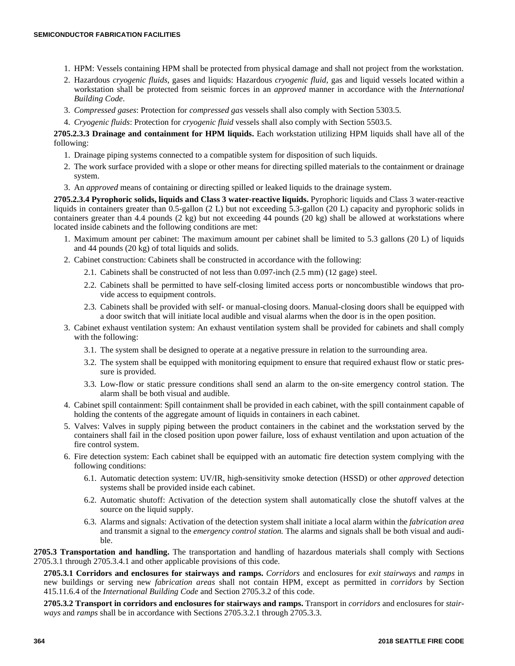- 1. HPM: Vessels containing HPM shall be protected from physical damage and shall not project from the workstation.
- 2. Hazardous *cryogenic fluids*, gases and liquids: Hazardous *cryogenic fluid*, gas and liquid vessels located within a workstation shall be protected from seismic forces in an *approved* manner in accordance with the *International Building Code*.
- 3. *Compressed gases*: Protection for *compressed gas* vessels shall also comply with Section 5303.5.
- 4. *Cryogenic fluids*: Protection for *cryogenic fluid* vessels shall also comply with Section 5503.5.

**2705.2.3.3 Drainage and containment for HPM liquids.** Each workstation utilizing HPM liquids shall have all of the following:

- 1. Drainage piping systems connected to a compatible system for disposition of such liquids.
- 2. The work surface provided with a slope or other means for directing spilled materials to the containment or drainage system.
- 3. An *approved* means of containing or directing spilled or leaked liquids to the drainage system.

**2705.2.3.4 Pyrophoric solids, liquids and Class 3 water-reactive liquids.** Pyrophoric liquids and Class 3 water-reactive liquids in containers greater than 0.5-gallon (2 L) but not exceeding 5.3-gallon (20 L) capacity and pyrophoric solids in containers greater than 4.4 pounds (2 kg) but not exceeding 44 pounds (20 kg) shall be allowed at workstations where located inside cabinets and the following conditions are met:

- 1. Maximum amount per cabinet: The maximum amount per cabinet shall be limited to 5.3 gallons (20 L) of liquids and 44 pounds (20 kg) of total liquids and solids.
- 2. Cabinet construction: Cabinets shall be constructed in accordance with the following:
	- 2.1. Cabinets shall be constructed of not less than 0.097-inch (2.5 mm) (12 gage) steel.
	- 2.2. Cabinets shall be permitted to have self-closing limited access ports or noncombustible windows that provide access to equipment controls.
	- 2.3. Cabinets shall be provided with self- or manual-closing doors. Manual-closing doors shall be equipped with a door switch that will initiate local audible and visual alarms when the door is in the open position.
- 3. Cabinet exhaust ventilation system: An exhaust ventilation system shall be provided for cabinets and shall comply with the following:
	- 3.1. The system shall be designed to operate at a negative pressure in relation to the surrounding area.
	- 3.2. The system shall be equipped with monitoring equipment to ensure that required exhaust flow or static pressure is provided.
	- 3.3. Low-flow or static pressure conditions shall send an alarm to the on-site emergency control station. The alarm shall be both visual and audible.
- 4. Cabinet spill containment: Spill containment shall be provided in each cabinet, with the spill containment capable of holding the contents of the aggregate amount of liquids in containers in each cabinet.
- 5. Valves: Valves in supply piping between the product containers in the cabinet and the workstation served by the containers shall fail in the closed position upon power failure, loss of exhaust ventilation and upon actuation of the fire control system.
- 6. Fire detection system: Each cabinet shall be equipped with an automatic fire detection system complying with the following conditions:
	- 6.1. Automatic detection system: UV/IR, high-sensitivity smoke detection (HSSD) or other *approved* detection systems shall be provided inside each cabinet.
	- 6.2. Automatic shutoff: Activation of the detection system shall automatically close the shutoff valves at the source on the liquid supply.
	- 6.3. Alarms and signals: Activation of the detection system shall initiate a local alarm within the *fabrication area* and transmit a signal to the *emergency control station.* The alarms and signals shall be both visual and audible.

**2705.3 Transportation and handling.** The transportation and handling of hazardous materials shall comply with Sections 2705.3.1 through 2705.3.4.1 and other applicable provisions of this code.

**2705.3.1 Corridors and enclosures for stairways and ramps.** *Corridors* and enclosures for *exit stairways* and *ramps* in new buildings or serving new *fabrication areas* shall not contain HPM, except as permitted in *corridors* by Section 415.11.6.4 of the *International Building Code* and Section 2705.3.2 of this code.

**2705.3.2 Transport in corridors and enclosures for stairways and ramps.** Transport in *corridors* and enclosures for *stairways* and *ramps* shall be in accordance with Sections 2705.3.2.1 through 2705.3.3.